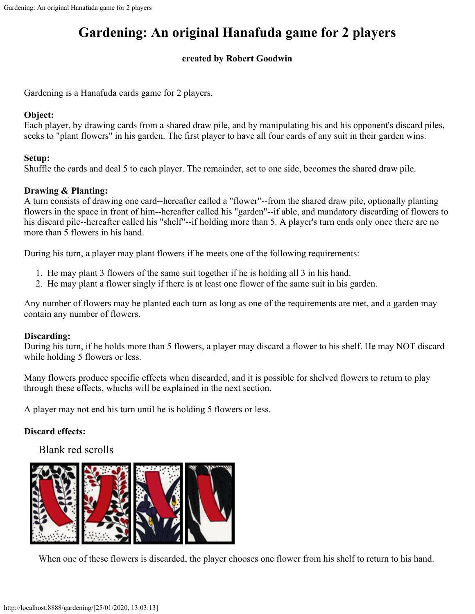# **Gardening: An original Hanafuda game for 2 players**

### **created by Robert Goodwin**

Gardening is a Hanafuda cards game for 2 players.

### **Object:**

Each player, by drawing cards from a shared draw pile, and by manipulating his and his opponent's discard piles, seeks to "plant flowers" in his garden. The first player to have all four cards of any suit in their garden wins.

#### **Setup:**

Shuffle the cards and deal 5 to each player. The remainder, set to one side, becomes the shared draw pile.

#### **Drawing & Planting:**

A turn consists of drawing one card--hereafter called a "flower"--from the shared draw pile, optionally planting flowers in the space in front of him--hereafter called his "garden"--if able, and mandatory discarding of flowers to his discard pile--hereafter called his "shelf"--if holding more than 5. A player's turn ends only once there are no more than 5 flowers in his hand.

During his turn, a player may plant flowers if he meets one of the following requirements:

- 1. He may plant 3 flowers of the same suit together if he is holding all 3 in his hand.
- 2. He may plant a flower singly if there is at least one flower of the same suit in his garden.

Any number of flowers may be planted each turn as long as one of the requirements are met, and a garden may contain any number of flowers.

#### **Discarding:**

During his turn, if he holds more than 5 flowers, a player may discard a flower to his shelf. He may NOT discard while holding 5 flowers or less.

Many flowers produce specific effects when discarded, and it is possible for shelved flowers to return to play through these effects, whichs will be explained in the next section.

A player may not end his turn until he is holding 5 flowers or less.

#### **Discard effects:**

Blank red scrolls



When one of these flowers is discarded, the player chooses one flower from his shelf to return to his hand.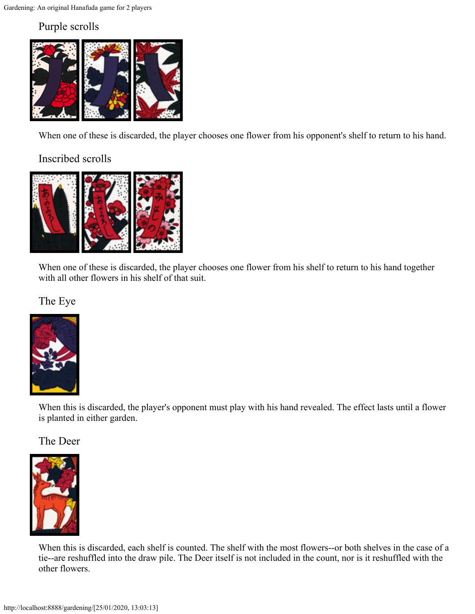# Purple scrolls



When one of these is discarded, the player chooses one flower from his opponent's shelf to return to his hand.

# Inscribed scrolls



When one of these is discarded, the player chooses one flower from his shelf to return to his hand together with all other flowers in his shelf of that suit.

### The Eye



When this is discarded, the player's opponent must play with his hand revealed. The effect lasts until a flower is planted in either garden.

### The Deer



When this is discarded, each shelf is counted. The shelf with the most flowers--or both shelves in the case of a tie--are reshuffled into the draw pile. The Deer itself is not included in the count, nor is it reshuffled with the other flowers.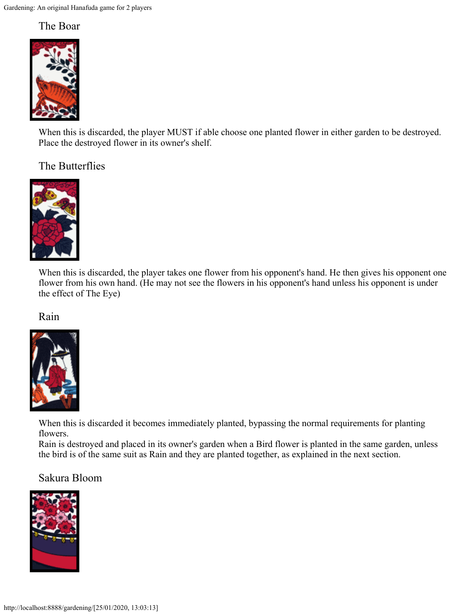### The Boar



When this is discarded, the player MUST if able choose one planted flower in either garden to be destroyed. Place the destroyed flower in its owner's shelf.

# The Butterflies



When this is discarded, the player takes one flower from his opponent's hand. He then gives his opponent one flower from his own hand. (He may not see the flowers in his opponent's hand unless his opponent is under the effect of The Eye)

Rain



When this is discarded it becomes immediately planted, bypassing the normal requirements for planting flowers.

Rain is destroyed and placed in its owner's garden when a Bird flower is planted in the same garden, unless the bird is of the same suit as Rain and they are planted together, as explained in the next section.

### Sakura Bloom

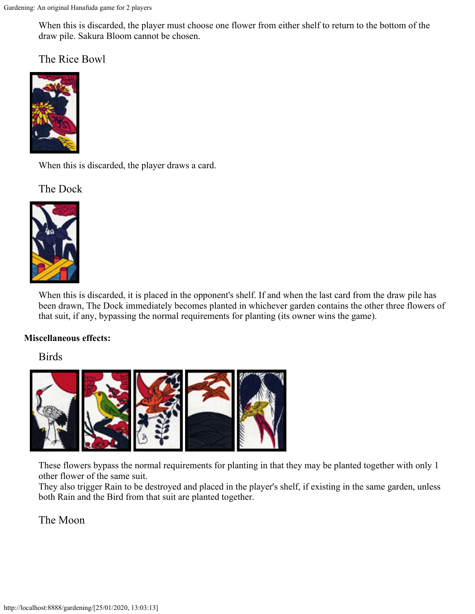When this is discarded, the player must choose one flower from either shelf to return to the bottom of the draw pile. Sakura Bloom cannot be chosen.

The Rice Bowl



When this is discarded, the player draws a card.

The Dock



When this is discarded, it is placed in the opponent's shelf. If and when the last card from the draw pile has been drawn, The Dock immediately becomes planted in whichever garden contains the other three flowers of that suit, if any, bypassing the normal requirements for planting (its owner wins the game).

#### **Miscellaneous effects:**

Birds



These flowers bypass the normal requirements for planting in that they may be planted together with only 1 other flower of the same suit.

They also trigger Rain to be destroyed and placed in the player's shelf, if existing in the same garden, unless both Rain and the Bird from that suit are planted together.

### The Moon